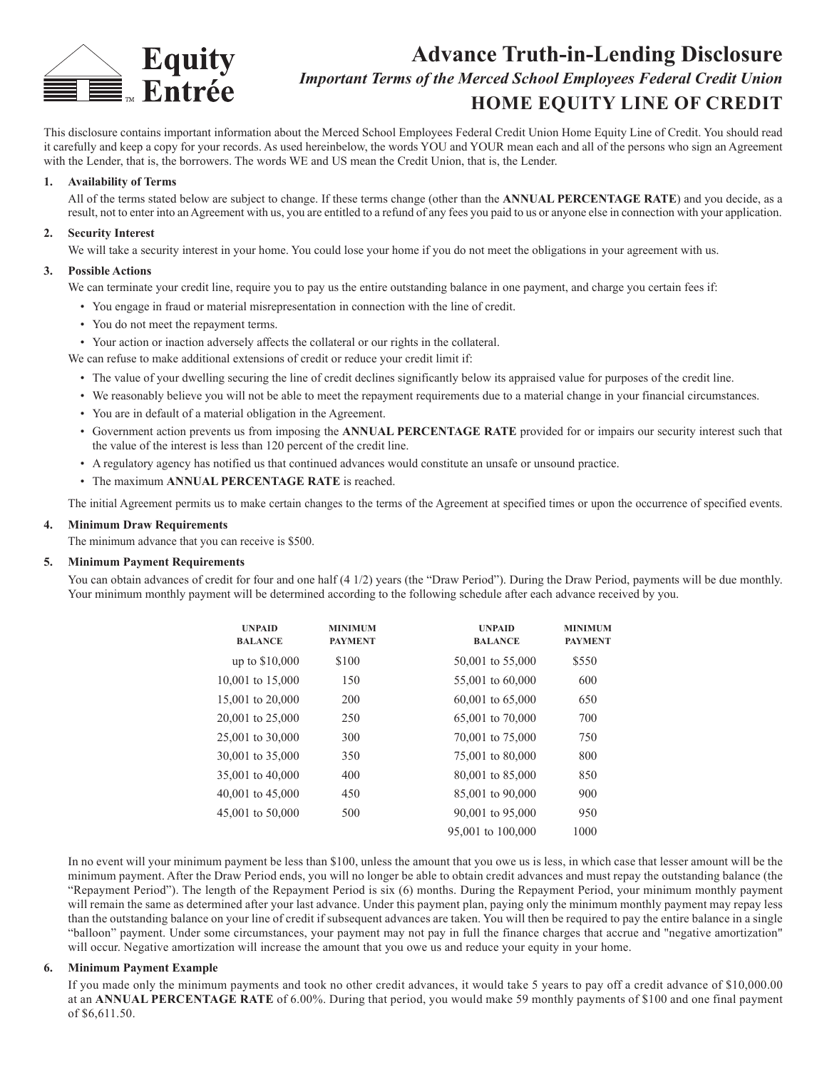

# **Advance Truth-in-Lending Disclosure** *Important Terms of the Merced School Employees Federal Credit Union* **HOME EQUITY LINE OF CREDIT**

This disclosure contains important information about the Merced School Employees Federal Credit Union Home Equity Line of Credit. You should read it carefully and keep a copy for your records. As used hereinbelow, the words YOU and YOUR mean each and all of the persons who sign an Agreement with the Lender, that is, the borrowers. The words WE and US mean the Credit Union, that is, the Lender.

# **1. Availability of Terms**

All of the terms stated below are subject to change. If these terms change (other than the **ANNUAL PERCENTAGE RATE**) and you decide, as a result, not to enter into an Agreement with us, you are entitled to a refund of any fees you paid to us or anyone else in connection with your application.

# **2. Security Interest**

We will take a security interest in your home. You could lose your home if you do not meet the obligations in your agreement with us.

## **3. Possible Actions**

We can terminate your credit line, require you to pay us the entire outstanding balance in one payment, and charge you certain fees if:

- You engage in fraud or material misrepresentation in connection with the line of credit.
- You do not meet the repayment terms.
- Your action or inaction adversely affects the collateral or our rights in the collateral.

We can refuse to make additional extensions of credit or reduce your credit limit if:

- The value of your dwelling securing the line of credit declines significantly below its appraised value for purposes of the credit line.
- We reasonably believe you will not be able to meet the repayment requirements due to a material change in your financial circumstances.
- You are in default of a material obligation in the Agreement.
- Government action prevents us from imposing the **ANNUAL PERCENTAGE RATE** provided for or impairs our security interest such that the value of the interest is less than 120 percent of the credit line.
- A regulatory agency has notified us that continued advances would constitute an unsafe or unsound practice.
- The maximum **ANNUAL PERCENTAGE RATE** is reached.

The initial Agreement permits us to make certain changes to the terms of the Agreement at specified times or upon the occurrence of specified events.

#### **4. Minimum Draw Requirements**

The minimum advance that you can receive is \$500.

#### **5. Minimum Payment Requirements**

You can obtain advances of credit for four and one half (4 1/2) years (the "Draw Period"). During the Draw Period, payments will be due monthly. Your minimum monthly payment will be determined according to the following schedule after each advance received by you.

| <b>UNPAID</b><br><b>BALANCE</b> | <b>MINIMUM</b><br><b>PAYMENT</b> | <b>UNPAID</b><br><b>BALANCE</b> | <b>MINIMUM</b><br><b>PAYMENT</b> |
|---------------------------------|----------------------------------|---------------------------------|----------------------------------|
| up to \$10,000                  | \$100                            | 50,001 to 55,000                | \$550                            |
| 10,001 to 15,000                | 150                              | 55,001 to 60,000                | 600                              |
| 15,001 to 20,000                | 200                              | $60,001$ to $65,000$            | 650                              |
| 20,001 to 25,000                | 250                              | 65,001 to 70,000                | 700                              |
| 25,001 to 30,000                | 300                              | 70,001 to 75,000                | 750                              |
| 30,001 to 35,000                | 350                              | 75,001 to 80,000                | 800                              |
| 35,001 to 40,000                | 400                              | 80,001 to 85,000                | 850                              |
| 40,001 to 45,000                | 450                              | 85,001 to 90,000                | 900                              |
| 45,001 to 50,000                | 500                              | 90,001 to 95,000                | 950                              |
|                                 |                                  | 95,001 to 100,000               | 1000                             |

In no event will your minimum payment be less than \$100, unless the amount that you owe us is less, in which case that lesser amount will be the minimum payment. After the Draw Period ends, you will no longer be able to obtain credit advances and must repay the outstanding balance (the "Repayment Period"). The length of the Repayment Period is six (6) months. During the Repayment Period, your minimum monthly payment will remain the same as determined after your last advance. Under this payment plan, paying only the minimum monthly payment may repay less than the outstanding balance on your line of credit if subsequent advances are taken. You will then be required to pay the entire balance in a single "balloon" payment. Under some circumstances, your payment may not pay in full the finance charges that accrue and "negative amortization" will occur. Negative amortization will increase the amount that you owe us and reduce your equity in your home.

#### **6. Minimum Payment Example**

If you made only the minimum payments and took no other credit advances, it would take 5 years to pay off a credit advance of \$10,000.00 at an **ANNUAL PERCENTAGE RATE** of 6.00%. During that period, you would make 59 monthly payments of \$100 and one final payment of \$6,611.50.